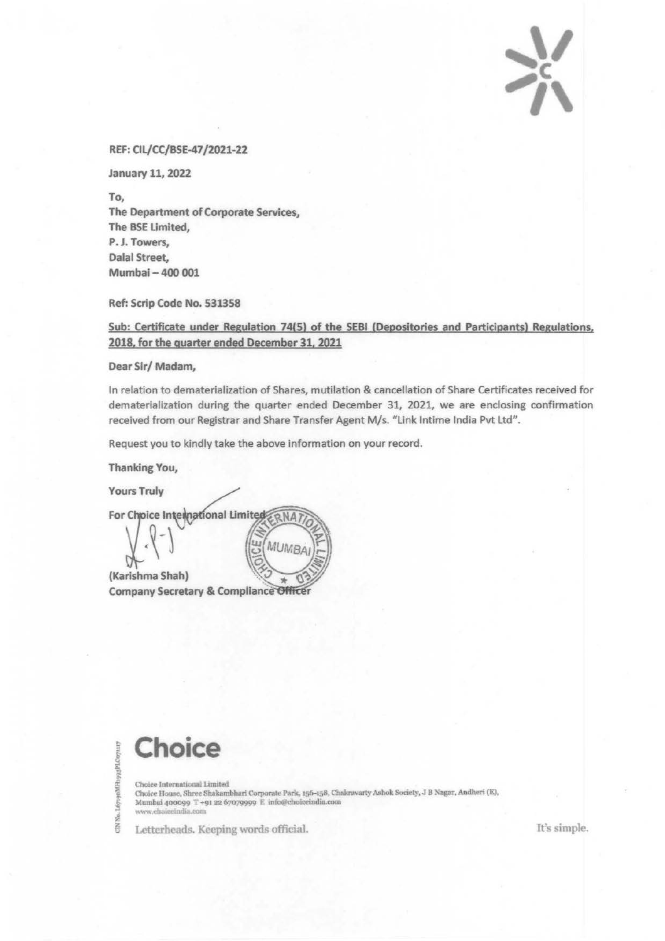$\sum_{i=1}^{n}$  $\frac{1}{2}$ 

## REF: Cll/CC/BSE-47/2021-22

January 11, 2022

To, The Department of Corporate Services, The BSE Limited, P.J. Towers, Dalal Street, Mumbai-400 001

Ref: Scrip Code No. 531358

Sub: Certificate under Regulation 74(5) of the SEBI (Depositories and Participants) Regulations, 2018. for the auarter ended December 31. 2021

Dear Sir/ Madam,

In relation to dematerialization of Shares, mutilation & cancellation of Share Certificates received for dematerialization during the quarter ended December 31, *2021,* we are enclosing confirmation received from our Registrar and Share Transfer Agent M/s. "Link Intime India Pvt Ltd".

Request you to kindly take the above information on your record.

Thanking You,

**Yours Truly** 

For Choice International Limited NA MUMBA (Karishma Shah) **Company Secretary & Compliance Officer** 

! **Choice** ..

f l5 i. . 1.671

Choice International Limited Choice House, Shree Shakambhari Corporate Park, 156-158, Chakravarty Ashok Society, J B Nagar, Andheri (E), Mumbai 400099 T+91 22 67079999 E info@choiceindia.com www.choiceindia.com

Letterheads. Keeping words official. It's simple.